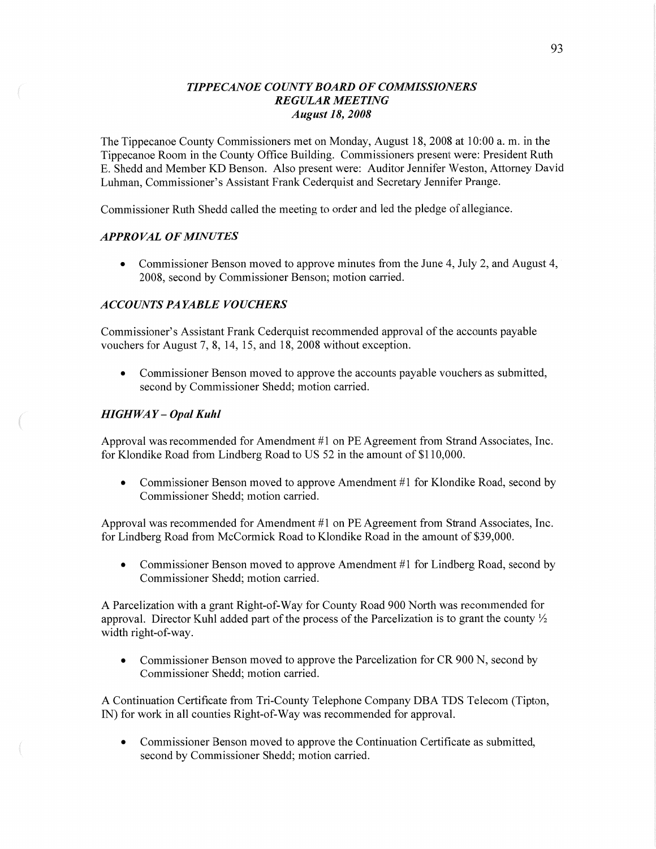## *TIPPECANOE COUNTY BOARD* OF *COMMISSIONERS REGULAR MEETING August* 18, *2008*

The Tippecanoe County Commissioners met on Monday, August 18, 2008 at 10:00 a. m. in the Tippecanoe Room in the County Office Building. Commissioners present were: President Ruth E. Shedd and Member KD Benson. Also present were: Auditor Jennifer Weston, Attorney David Luhman, Commissioner's Assistant Frank Cederquist and Secretary Jennifer Prange.

Commissioner Ruth Shedd called the meeting to order and led the pledge of allegiance.

# *APPROVAL* OF *MINUTES*

**0** Commissioner Benson moved to approve minutes from the June 4, July 2, and August 4, 2008, second by Commissioner Benson; motion carried.

## *ACCOUNTS* PA *YABLE VOUCHERS*

Commissioner's Assistant Frank Cederquist recommended approval of the accounts payable vouchers for August 7, 8, 14, 15, and 18, 2008 without exception.

**0** Commissioner Benson moved to approve the accounts payable vouchers as submitted, second by Commissioner Shedd; motion carried.

## *HIGHWAY — Opal Kuhl*

 $($ 

Approval was recommended for Amendment #1 on PE Agreement from Strand Associates, **Inc.**  for Klondike Road from Lindberg Road to US 52 in the amount of \$110,000.

**0** Commissioner Benson moved to approve Amendment #1 for Klondike Road, second by Commissioner Shedd; motion carried.

Approval was recommended for Amendment #1 on PE Agreement from Strand Associates, Inc. for Lindberg Road from McCormick Road to Klondike Road in the amount of \$39,000.

• Commissioner Benson moved to approve Amendment #1 for Lindberg Road, second by Commissioner Shedd; motion carried.

A Parcelization with a grant Right-of-Way for County Road 900 North was recommended for approval. Director Kuhl added part of the process of the Parcelization is to grant the county  $\frac{1}{2}$ width right-of-way.

**0** Commissioner Benson moved to approve the Parcelization for CR 900 N, second by Commissioner Shedd; motion carried.

A Continuation Certificate from Tri-County Telephone Company DBA TDS Telecom (Tipton, IN) for work in all counties Right-of-Way was recommended for approval.

**0** Commissioner Benson moved to approve the Continuation Certificate as submitted, second by Commissioner Shedd; motion carried.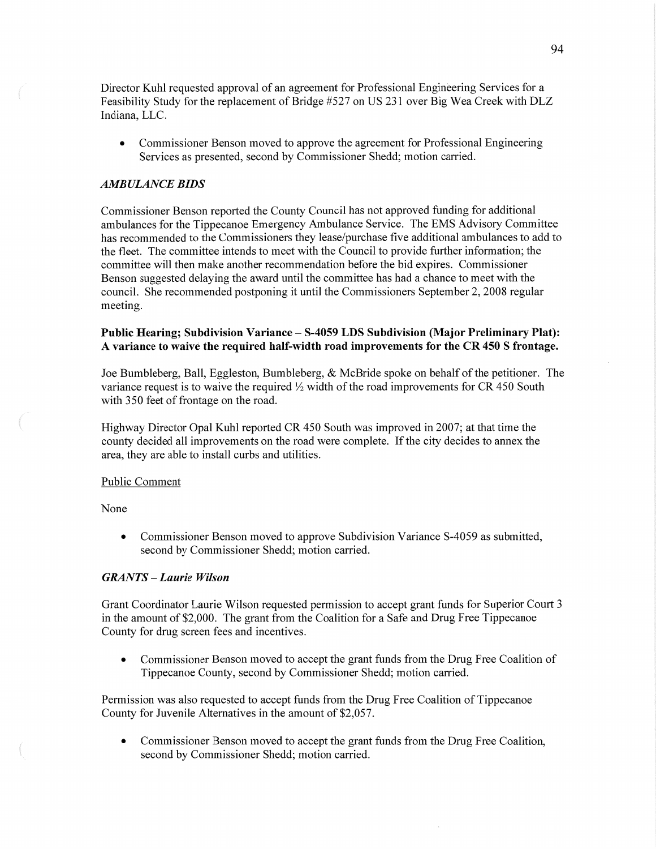Director Kuhl requested approval of an agreement for Professional Engineering Services for a Feasibility Study for the replacement of Bridge #527 on US 231 over Big Wea Creek with DLZ Indiana, **LLC.** 

**0** Commissioner Benson moved to approve the agreement for Professional Engineering Services as presented, second by Commissioner Shedd; motion carried.

## *AMBULANCE BIDS*

Commissioner Benson reported the County Council has not approved funding for additional ambulances for the Tippecanoe Emergency Ambulance Service. The EMS Advisory Committee has recommended to the Commissioners they lease/purchase five additional ambulances to add to the fleet. The committee intends to meet with the Council to provide further information; the committee will then make another recommendation before the bid expires. Commissioner Benson suggested delaying the award until the committee has had a chance to meet with the council. She recommended postponing it until the Commissioners September 2, 2008 regular meeting.

## **Public Hearing;** Subdivision **Variance — S-4059** LDS **Subdivision (Major** Preliminary **Plat): A variance** to **waive** the **required** half-Width **road** improvements for the CR 450 **S frontage.**

Joe Bumbleberg, Ball, Eggleston, Bumbleberg, & McBride spoke on behalf of the petitioner. The variance request is to waive the required  $\frac{1}{2}$  width of the road improvements for CR 450 South with 350 feet of frontage on the road.

Highway Director Opal Kuhl reported CR 450 South was improved in 2007; at that time the county decided all improvements on the road were complete. If the city decides to annex the area, they are able to install curbs and utilities.

#### Public Comment

None

 $\overline{\phantom{a}}$ 

**0** Commissioner Benson moved to approve Subdivision Variance 8-4059 as submitted, second by Commissioner Shedd; motion carried.

## *GRANTS* **—** *Laurie Wilson*

Grant Coordinator Laurie Wilson requested permission to accept grant funds for Superior Court 3 in the amount of \$2,000. The grant from the Coalition for a Safe and Drug Free Tippecanoe County for drug screen fees and incentives.

**0** Commissioner Benson moved to accept the grant **funds** from the Drug Free Coalition of Tippecanoe County, second by Commissioner Shedd; motion carried.

Permission was also requested to accept funds from the Drug Free Coalition of Tippecanoe County for Juvenile Alternatives in the amount of \$2,057.

**0** Commissioner Benson moved to accept the grant funds from the Drug Free Coalition, second by Commissioner Shedd; motion carried.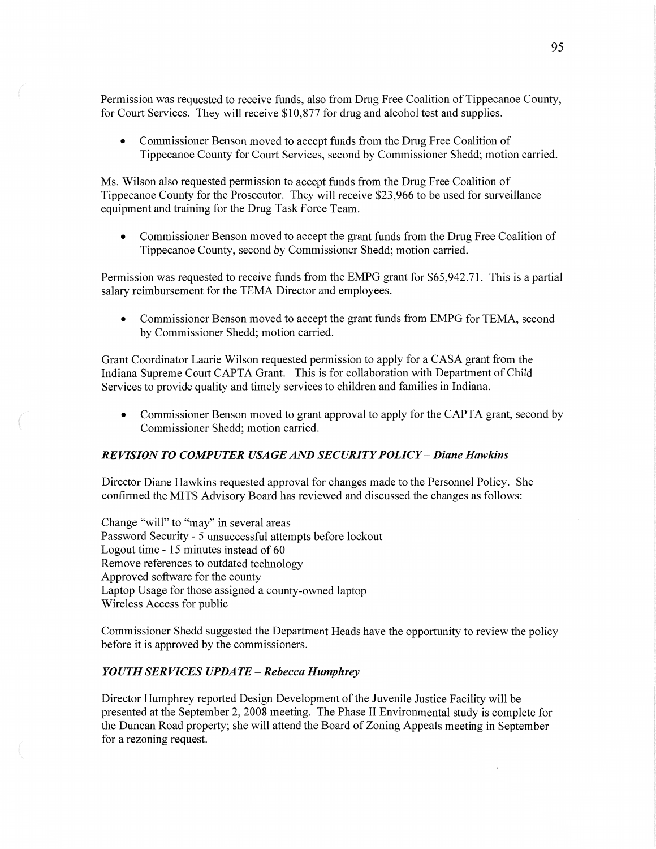Permission was requested to receive funds, also from Drug Free Coalition of Tippecanoe County, for Court **Services.** They will receive \$10,877 for drug and alcohol test and **supplies.** 

**0** Commissioner Benson moved to accept funds from the Drug Free Coalition of Tippecanoe County for Court Services, second by Commissioner Shedd; motion carried.

Ms. Wilson also requested permission to accept funds from the Drug Free Coalition of Tippecanoe County for the Prosecutor. They will receive \$23,966 to be used for surveillance equipment and training for the Drug Task Force Team.

**0** Commissioner Benson moved to accept the grant funds from the Drug Free Coalition of Tippecanoe County, second by Commissioner Shedd; motion carried.

Permission was requested to receive funds from the EMPG grant for \$65,942.71. This is a partial salary reimbursement for the TEMA Director and employees.

**0** Commissioner Benson moved to accept the grant funds from EMPG for TEMA, second by Commissioner Shedd; motion carried.

Grant Coordinator Laurie Wilson requested permission to apply for a **CASA** grant fiom the Indiana Supreme Court CAPTA Grant. This is for collaboration with Department of Child Services to provide quality and timely services to children and families in Indiana.

**0** Commissioner Benson moved to grant approval to apply for the **CAPTA** grant, second by Commissioner Shedd; motion carried.

# *REVISION T 0 COMPUTER* USA GE AND *SECURITY POLICY* — *Diane Hawkins*

Director Diane Hawkins requested approval for changes made to the Personnel Policy. She confirmed the **MITS** Advisory Board has reviewed and discussed the changes as follows:

Change "will" to "may" in several areas Password Security **-** 5 unsuccessful attempts before lockout Logout time **-** 15 minutes instead of 60 Remove references to outdated technology Approved software for the county Laptop Usage for those assigned a county—owned laptop Wireless **Access** for public

Commissioner Shedd suggested the Department Heads have the opportunity to review the policy before it is approved by the commissioners.

## *YOUTH* SER *VICES UPDATE* **—** *Rebecca Humphrey*

Director Humphrey reported Design Development of the Juvenile Justice Facility will be presented at the September 2, 2008 meeting. The Phase 11 Environmental study is complete for the Duncan Road property; she will **attend** the Board of Zoning Appeals meeting in September for a rezoning request.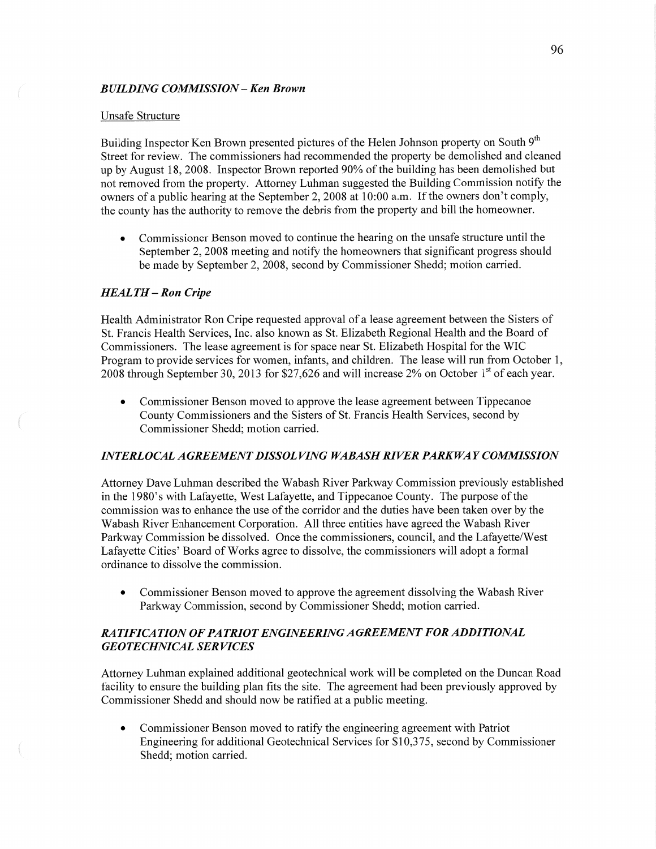## *BUILDING COMMISSION* **—** Ken *Brown*

#### Unsafe Structure

Building Inspector Ken Brown presented pictures of the Helen Johnson property on South 9<sup>th</sup> Street for review. The commissioners had recommended the property be demolished and cleaned up by August 18, 2008. Inspector Brown reported 90% of the building has been demolished but not removed from the property. Attorney Luhman suggested the Building Commission notify the owners of a public hearing at the September 2, 2008 at 10:00 a.m. If the owners don't comply, the county has the authority to remove the debris from the property and bill the homeowner.

**0** Commissioner Benson moved to continue the hearing on the unsafe structure until the September 2, 2008 meeting and notify the homeowners that significant progress should be made by September 2, 2008, second by Commissioner Shedd; motion carried.

## *HEALTH* **—** Ron *Cripe*

Health Administrator Ron Cripe requested approval of a lease agreement between the Sisters of St. Francis Health Services, Inc. also known as St. Elizabeth Regional Health and the Board of Commissioners. The lease agreement is for space near St. Elizabeth Hospital for the WIC Program to provide services for women, infants, and children. The lease will run from October 1, 2008 through September 30, 2013 for \$27,626 and will increase 2% on October  $1<sup>st</sup>$  of each year.

**0** Commissioner Benson moved to approve the lease agreement between Tippecanoe County Commissioners and the Sisters of St. Francis Health Services, second by Commissioner Shedd; motion carried.

## INT *ERLOCAL AGREEMENT DISSOL VING WABASH RIVER PARKWAY COMMISSION*

Attorney Dave Luhman described the Wabash River Parkway Commission previously established in the 1980's with Lafayette, West Lafayette, and Tippecanoe County. The purpose of the commission was to enhance the use of the corridor and the duties have been taken over by the Wabash River Enhancement Corporation. All three entities have agreed the Wabash River Parkway Commission be dissolved. Once the commissioners, council, and the Lafayette/West Lafayette Cities' Board of Works agree to dissolve, the commissioners will adopt a formal ordinance to dissolve the commission.

**0** Commissioner Benson moved to approve the agreement dissolving the Wabash River Parkway Commission, second by Commissioner Shedd; motion carried.

# *RATIFICATION* OF *PATRIOT ENGINEERING AGREEMENT* FOR *ADDITIONAL*  **GEOTECHNICAL SERVICES**

Attorney Luhman explained additional geotechnical work will be completed on the Duncan Road facility to ensure the building plan fits the site. The agreement had been previously approved by Commissioner Shedd and should now be ratified at a public meeting.

*0* Commissioner Benson moved to ratify the engineering agreement with Patriot Engineering for additional Geotechnical Services for \$10,375, second by Commissioner Shedd; motion carried.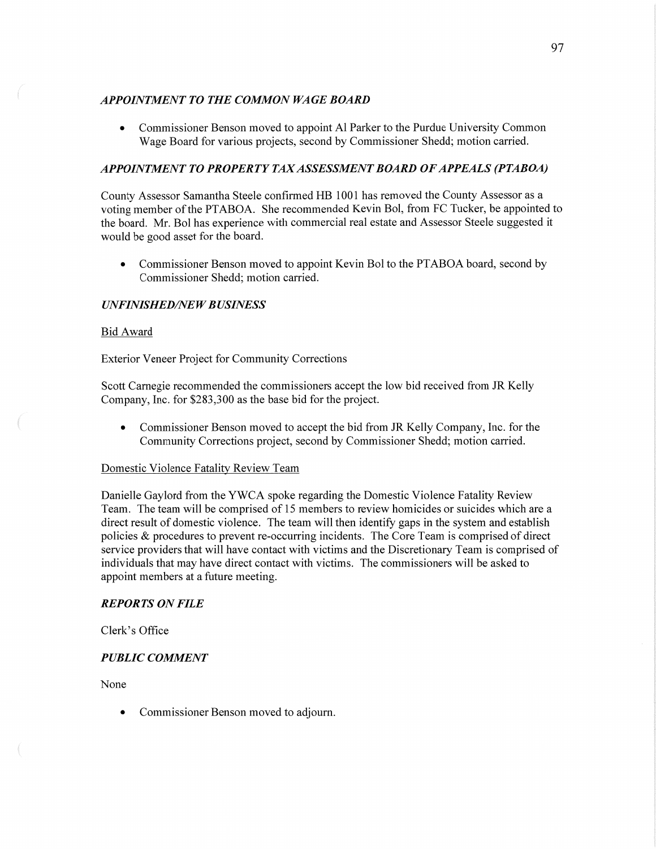## **APPOINTMENT TO THE COMMON WAGE BOARD**

**0** Commissioner Benson moved to appoint A1 Parker to the Purdue University Common Wage Board for various projects, second by Commissioner Shedd; motion carried.

# *APPOINTMENT* T0 *PROPERTY* TAX *ASSESSMENT BOARD* OF *APPEALS (PTABOA)*

County Assessor **Samantha** Steele confirmed HE 1001 has removed the County Assessor as **<sup>a</sup>** voting member of the PTABOA. She recommended Kevin B01, from FC Tucker, be appointed to the board. Mr. B01 has experience with commercial real estate and Assessor Steele suggested it would be good asset for the board.

**0** Commissioner Benson moved to appoint Kevin B01 to the PTABOA board, second by Commissioner Shedd; motion carried.

## *UNFINISHED/NEW BUSINESS*

## Bid Award

Exterior Veneer Project for Community Corrections

Scott Carnegie recommended the commissioners accept the low bid received from JR Kelly Company, Inc. for \$283,300 as the base bid for the project.

**0** Commissioner Benson moved to accept the bid from JR Kelly Company, Inc. for the Community Corrections project, second by Commissioner Shedd; motion carried.

## Domestic Violence Fatality Review **Team**

Danielle Gaylord from the YWCA spoke regarding the Domestic Violence Fatality Review **Team.** The team will be comprised of 15 members to review homicides or suicides which are a direct result of domestic Violence. The team will then identify gaps in the system and establish policies & procedures to prevent re-occurring incidents. The Core Team is comprised of direct service providers that will have contact with Victims and the Discretionary **Team** is comprised of individuals that may have direct contact with Victims. The commissioners will be asked to appoint members at a future meeting.

## *REPORTS* ON *FILE*

Clerk's Office

# *PUBLIC COMMENT*

None

**0** Commissioner Benson moved to adjourn.